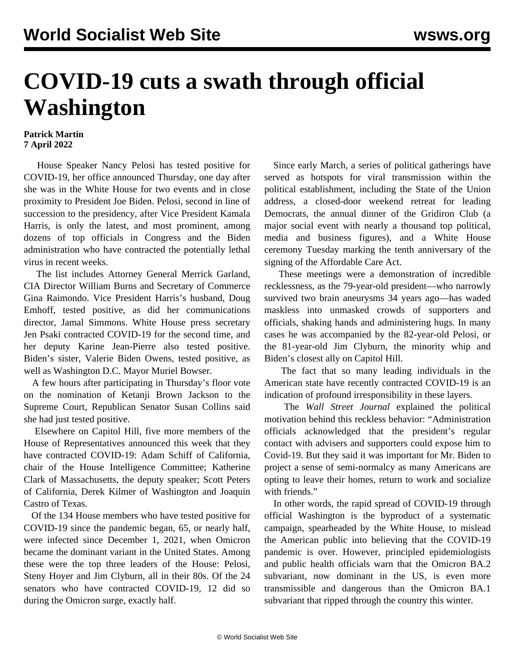## **COVID-19 cuts a swath through official Washington**

## **Patrick Martin 7 April 2022**

 House Speaker Nancy Pelosi has tested positive for COVID-19, her office announced Thursday, one day after she was in the White House for two events and in close proximity to President Joe Biden. Pelosi, second in line of succession to the presidency, after Vice President Kamala Harris, is only the latest, and most prominent, among dozens of top officials in Congress and the Biden administration who have contracted the potentially lethal virus in recent weeks.

 The list includes Attorney General Merrick Garland, CIA Director William Burns and Secretary of Commerce Gina Raimondo. Vice President Harris's husband, Doug Emhoff, tested positive, as did her communications director, Jamal Simmons. White House press secretary Jen Psaki contracted COVID-19 for the second time, and her deputy Karine Jean-Pierre also tested positive. Biden's sister, Valerie Biden Owens, tested positive, as well as Washington D.C. Mayor Muriel Bowser.

 A few hours after participating in Thursday's floor vote on the nomination of Ketanji Brown Jackson to the Supreme Court, Republican Senator Susan Collins said she had just tested positive.

 Elsewhere on Capitol Hill, five more members of the House of Representatives announced this week that they have contracted COVID-19: Adam Schiff of California, chair of the House Intelligence Committee; Katherine Clark of Massachusetts, the deputy speaker; Scott Peters of California, Derek Kilmer of Washington and Joaquin Castro of Texas.

 Of the 134 House members who have tested positive for COVID-19 since the pandemic began, 65, or nearly half, were infected since December 1, 2021, when Omicron became the dominant variant in the United States. Among these were the top three leaders of the House: Pelosi, Steny Hoyer and Jim Clyburn, all in their 80s. Of the 24 senators who have contracted COVID-19, 12 did so during the Omicron surge, exactly half.

 Since early March, a series of political gatherings have served as hotspots for viral transmission within the political establishment, including the State of the Union address, a closed-door weekend retreat for leading Democrats, the annual dinner of the Gridiron Club (a major social event with nearly a thousand top political, media and business figures), and a White House ceremony Tuesday marking the tenth anniversary of the signing of the Affordable Care Act.

 These meetings were a demonstration of incredible recklessness, as the 79-year-old president—who narrowly survived two brain aneurysms 34 years ago—has waded maskless into unmasked crowds of supporters and officials, shaking hands and administering hugs. In many cases he was accompanied by the 82-year-old Pelosi, or the 81-year-old Jim Clyburn, the minority whip and Biden's closest ally on Capitol Hill.

 The fact that so many leading individuals in the American state have recently contracted COVID-19 is an indication of profound irresponsibility in these layers.

 The *Wall Street Journal* explained the political motivation behind this reckless behavior: "Administration officials acknowledged that the president's regular contact with advisers and supporters could expose him to Covid-19. But they said it was important for Mr. Biden to project a sense of semi-normalcy as many Americans are opting to leave their homes, return to work and socialize with friends."

 In other words, the rapid spread of COVID-19 through official Washington is the byproduct of a systematic campaign, spearheaded by the White House, to mislead the American public into believing that the COVID-19 pandemic is over. However, principled epidemiologists and public health officials warn that the Omicron BA.2 subvariant, now dominant in the US, is even more transmissible and dangerous than the Omicron BA.1 subvariant that ripped through the country this winter.